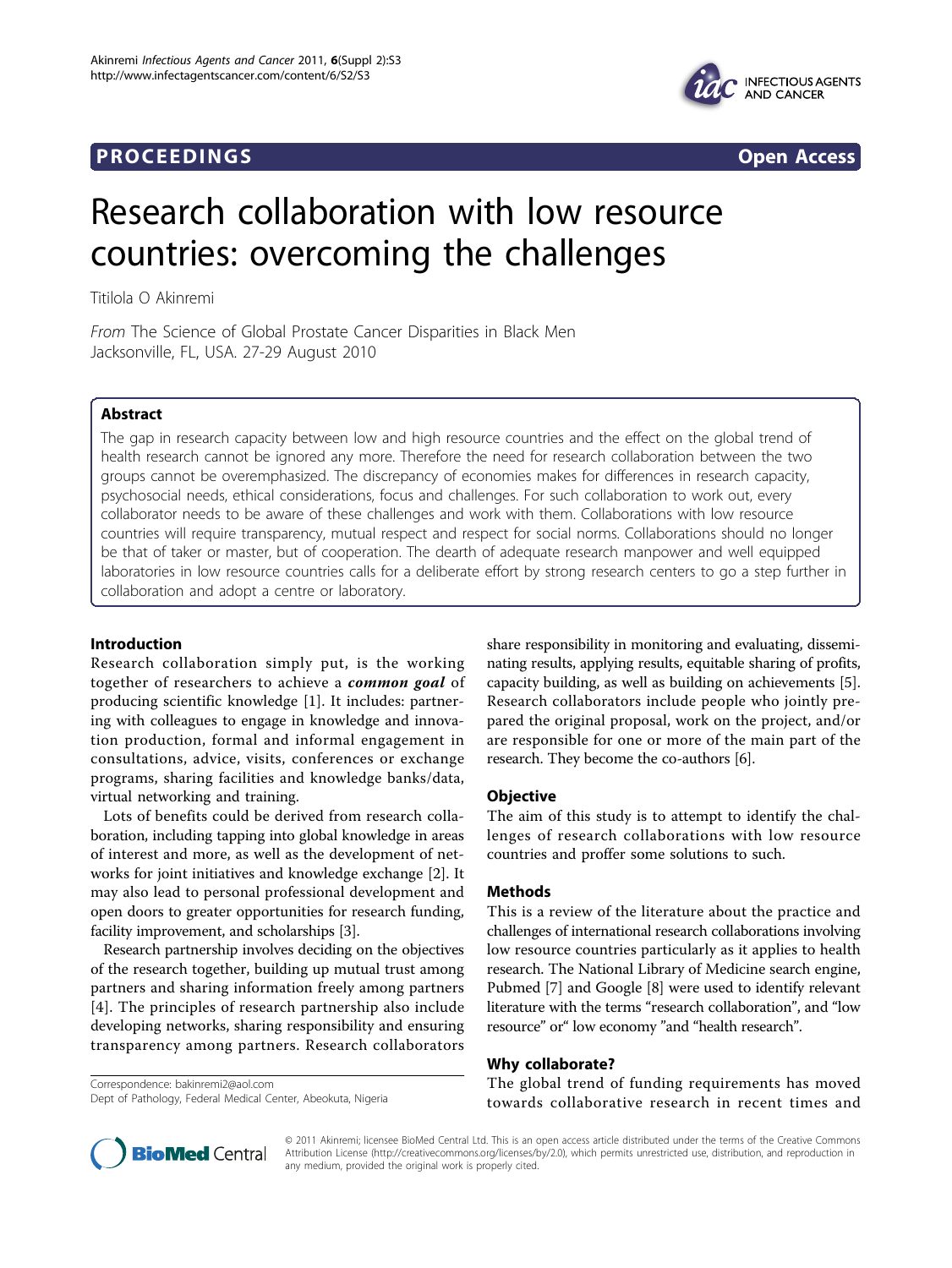# **PROCEEDINGS CONSIDERING S** Open Access



# Research collaboration with low resource countries: overcoming the challenges

Titilola O Akinremi

From The Science of Global Prostate Cancer Disparities in Black Men Jacksonville, FL, USA. 27-29 August 2010

# Abstract

The gap in research capacity between low and high resource countries and the effect on the global trend of health research cannot be ignored any more. Therefore the need for research collaboration between the two groups cannot be overemphasized. The discrepancy of economies makes for differences in research capacity, psychosocial needs, ethical considerations, focus and challenges. For such collaboration to work out, every collaborator needs to be aware of these challenges and work with them. Collaborations with low resource countries will require transparency, mutual respect and respect for social norms. Collaborations should no longer be that of taker or master, but of cooperation. The dearth of adequate research manpower and well equipped laboratories in low resource countries calls for a deliberate effort by strong research centers to go a step further in collaboration and adopt a centre or laboratory.

# Introduction

Research collaboration simply put, is the working together of researchers to achieve a *common goal* of producing scientific knowledge [[1\]](#page-2-0). It includes: partnering with colleagues to engage in knowledge and innovation production, formal and informal engagement in consultations, advice, visits, conferences or exchange programs, sharing facilities and knowledge banks/data, virtual networking and training.

Lots of benefits could be derived from research collaboration, including tapping into global knowledge in areas of interest and more, as well as the development of networks for joint initiatives and knowledge exchange [[2\]](#page-2-0). It may also lead to personal professional development and open doors to greater opportunities for research funding, facility improvement, and scholarships [\[3](#page-2-0)].

Research partnership involves deciding on the objectives of the research together, building up mutual trust among partners and sharing information freely among partners [[4](#page-2-0)]. The principles of research partnership also include developing networks, sharing responsibility and ensuring transparency among partners. Research collaborators

Correspondence: [bakinremi2@aol.com](mailto:bakinremi2@aol.com) Dept of Pathology, Federal Medical Center, Abeokuta, Nigeria share responsibility in monitoring and evaluating, disseminating results, applying results, equitable sharing of profits, capacity building, as well as building on achievements [\[5](#page-2-0)]. Research collaborators include people who jointly prepared the original proposal, work on the project, and/or are responsible for one or more of the main part of the research. They become the co-authors [[6](#page-2-0)].

# **Objective**

The aim of this study is to attempt to identify the challenges of research collaborations with low resource countries and proffer some solutions to such.

# Methods

This is a review of the literature about the practice and challenges of international research collaborations involving low resource countries particularly as it applies to health research. The National Library of Medicine search engine, Pubmed [7] and Google [8] were used to identify relevant literature with the terms "research collaboration", and "low resource" or" low economy "and "health research".

# Why collaborate?

The global trend of funding requirements has moved towards collaborative research in recent times and



© 2011 Akinremi; licensee BioMed Central Ltd. This is an open access article distributed under the terms of the Creative Commons Attribution License [\(http://creativecommons.org/licenses/by/2.0](http://creativecommons.org/licenses/by/2.0)), which permits unrestricted use, distribution, and reproduction in any medium, provided the original work is properly cited.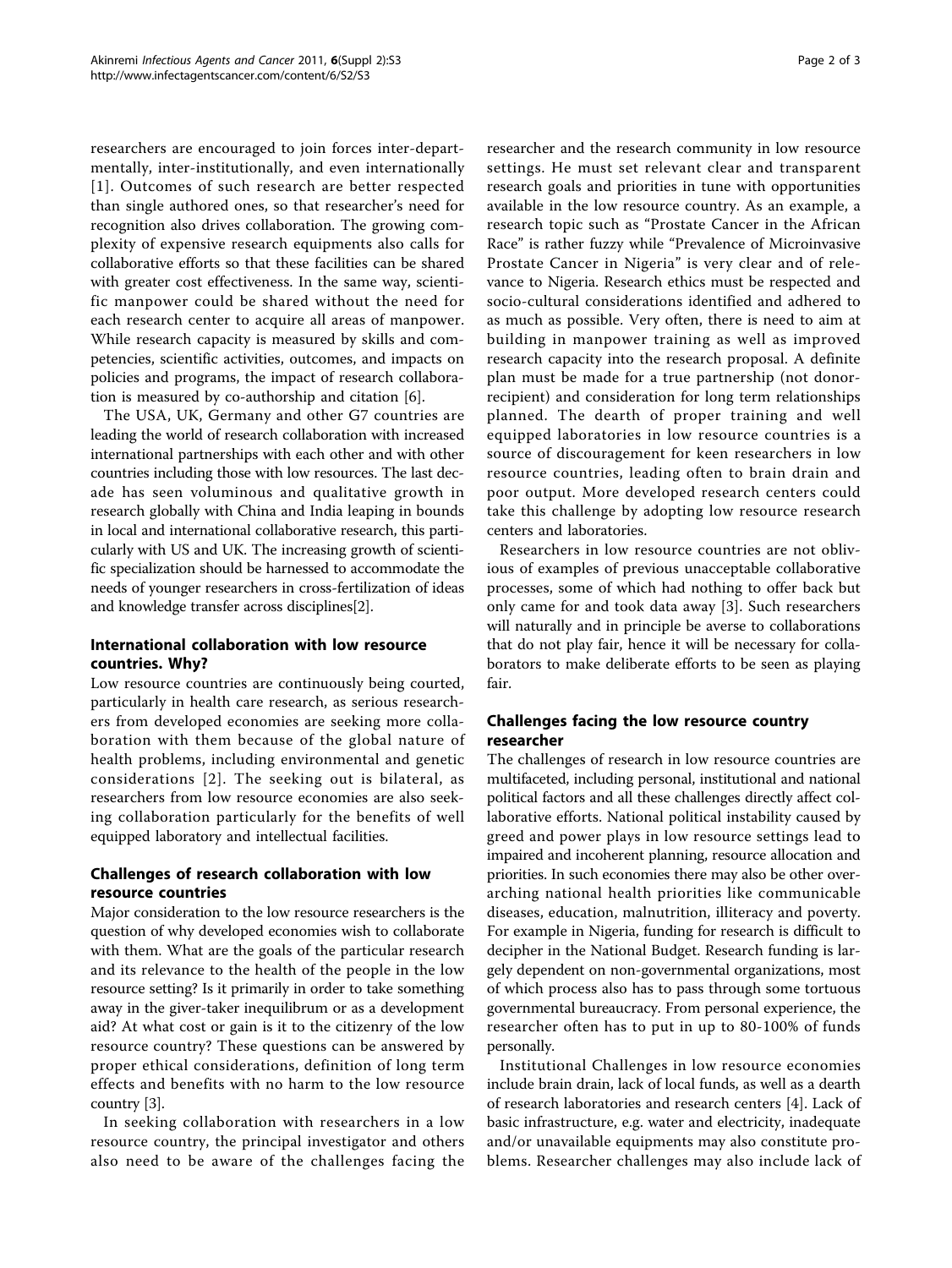researchers are encouraged to join forces inter-departmentally, inter-institutionally, and even internationally [[1\]](#page-2-0). Outcomes of such research are better respected than single authored ones, so that researcher's need for recognition also drives collaboration. The growing complexity of expensive research equipments also calls for collaborative efforts so that these facilities can be shared with greater cost effectiveness. In the same way, scientific manpower could be shared without the need for each research center to acquire all areas of manpower. While research capacity is measured by skills and competencies, scientific activities, outcomes, and impacts on policies and programs, the impact of research collaboration is measured by co-authorship and citation [[6\]](#page-2-0).

The USA, UK, Germany and other G7 countries are leading the world of research collaboration with increased international partnerships with each other and with other countries including those with low resources. The last decade has seen voluminous and qualitative growth in research globally with China and India leaping in bounds in local and international collaborative research, this particularly with US and UK. The increasing growth of scientific specialization should be harnessed to accommodate the needs of younger researchers in cross-fertilization of ideas and knowledge transfer across disciplines[[2\]](#page-2-0).

# International collaboration with low resource countries. Why?

Low resource countries are continuously being courted, particularly in health care research, as serious researchers from developed economies are seeking more collaboration with them because of the global nature of health problems, including environmental and genetic considerations [[2\]](#page-2-0). The seeking out is bilateral, as researchers from low resource economies are also seeking collaboration particularly for the benefits of well equipped laboratory and intellectual facilities.

# Challenges of research collaboration with low resource countries

Major consideration to the low resource researchers is the question of why developed economies wish to collaborate with them. What are the goals of the particular research and its relevance to the health of the people in the low resource setting? Is it primarily in order to take something away in the giver-taker inequilibrum or as a development aid? At what cost or gain is it to the citizenry of the low resource country? These questions can be answered by proper ethical considerations, definition of long term effects and benefits with no harm to the low resource country [\[3\]](#page-2-0).

In seeking collaboration with researchers in a low resource country, the principal investigator and others also need to be aware of the challenges facing the researcher and the research community in low resource settings. He must set relevant clear and transparent research goals and priorities in tune with opportunities available in the low resource country. As an example, a research topic such as "Prostate Cancer in the African Race" is rather fuzzy while "Prevalence of Microinvasive Prostate Cancer in Nigeria" is very clear and of relevance to Nigeria. Research ethics must be respected and socio-cultural considerations identified and adhered to as much as possible. Very often, there is need to aim at building in manpower training as well as improved research capacity into the research proposal. A definite plan must be made for a true partnership (not donorrecipient) and consideration for long term relationships planned. The dearth of proper training and well equipped laboratories in low resource countries is a source of discouragement for keen researchers in low resource countries, leading often to brain drain and poor output. More developed research centers could take this challenge by adopting low resource research centers and laboratories.

Researchers in low resource countries are not oblivious of examples of previous unacceptable collaborative processes, some of which had nothing to offer back but only came for and took data away [\[3](#page-2-0)]. Such researchers will naturally and in principle be averse to collaborations that do not play fair, hence it will be necessary for collaborators to make deliberate efforts to be seen as playing fair.

# Challenges facing the low resource country researcher

The challenges of research in low resource countries are multifaceted, including personal, institutional and national political factors and all these challenges directly affect collaborative efforts. National political instability caused by greed and power plays in low resource settings lead to impaired and incoherent planning, resource allocation and priorities. In such economies there may also be other overarching national health priorities like communicable diseases, education, malnutrition, illiteracy and poverty. For example in Nigeria, funding for research is difficult to decipher in the National Budget. Research funding is largely dependent on non-governmental organizations, most of which process also has to pass through some tortuous governmental bureaucracy. From personal experience, the researcher often has to put in up to 80-100% of funds personally.

Institutional Challenges in low resource economies include brain drain, lack of local funds, as well as a dearth of research laboratories and research centers [\[4](#page-2-0)]. Lack of basic infrastructure, e.g. water and electricity, inadequate and/or unavailable equipments may also constitute problems. Researcher challenges may also include lack of